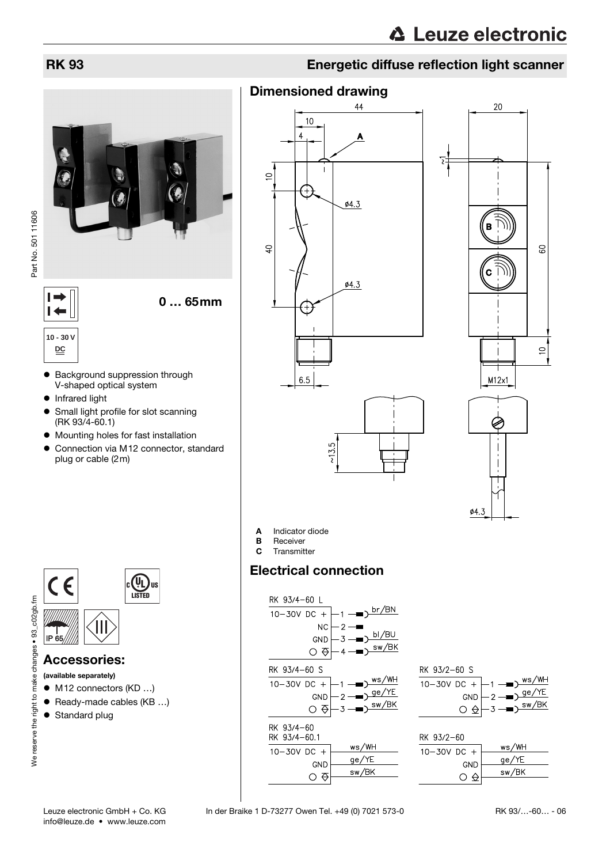

Part No. 501 11606

0 … 65mm

 $\vdash$ 

**10 - 30 V DC**

 $\overline{1}$ 

- Background suppression through V-shaped optical system
- Infrared light
- Small light profile for slot scanning (RK 93/4-60.1)
- $\bullet$  Mounting holes for fast installation
- $\bullet$  Connection via M12 connector, standard plug or cable (2m)



## Accessories:

(available separately)

- $\bullet$  M12 connectors (KD ...)
- $\bullet$  Ready-made cables (KB ...)
- Standard plug

## RK 93 Energetic diffuse reflection light scanner

7

## Dimensioned drawing









A Indicator diode

- **B** Receiver
- C Transmitter

## Electrical connection